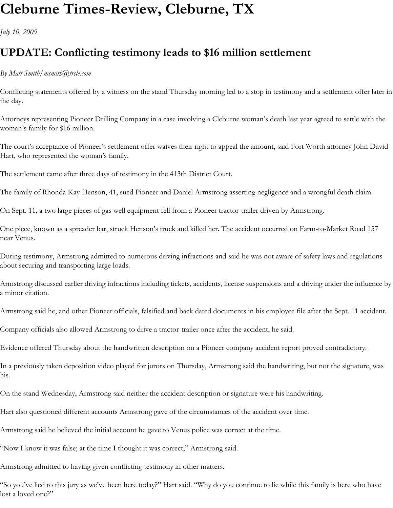## **Cleburne Times-Review, Cleburne, TX**

*July 10, 2009*

## **UPDATE: Conflicting testimony leads to \$16 million settlement**

## *By Matt Smith/msmith@trcle.com*

Conflicting statements offered by a witness on the stand Thursday morning led to a stop in testimony and a settlement offer later in the day.

Attorneys representing Pioneer Drilling Company in a case involving a Cleburne woman's death last year agreed to settle with the woman's family for \$16 million.

The court's acceptance of Pioneer's settlement offer waives their right to appeal the amount, said Fort Worth attorney John David Hart, who represented the woman's family.

The settlement came after three days of testimony in the 413th District Court.

The family of Rhonda Kay Henson, 41, sued Pioneer and Daniel Armstrong asserting negligence and a wrongful death claim.

On Sept. 11, a two large pieces of gas well equipment fell from a Pioneer tractor-trailer driven by Armstrong.

One piece, known as a spreader bar, struck Henson's truck and killed her. The accident occurred on Farm-to-Market Road 157 near Venus.

During testimony, Armstrong admitted to numerous driving infractions and said he was not aware of safety laws and regulations about securing and transporting large loads.

Armstrong discussed earlier driving infractions including tickets, accidents, license suspensions and a driving under the influence by a minor citation.

Armstrong said he, and other Pioneer officials, falsified and back dated documents in his employee file after the Sept. 11 accident.

Company officials also allowed Armstrong to drive a tractor-trailer once after the accident, he said.

Evidence offered Thursday about the handwritten description on a Pioneer company accident report proved contradictory.

In a previously taken deposition video played for jurors on Thursday, Armstrong said the handwriting, but not the signature, was his.

On the stand Wednesday, Armstrong said neither the accident description or signature were his handwriting.

Hart also questioned different accounts Armstrong gave of the circumstances of the accident over time.

Armstrong said he believed the initial account he gave to Venus police was correct at the time.

"Now I know it was false; at the time I thought it was correct," Armstrong said.

Armstrong admitted to having given conflicting testimony in other matters.

"So you've lied to this jury as we've been here today?" Hart said. "Why do you continue to lie while this family is here who have lost a loved one?"